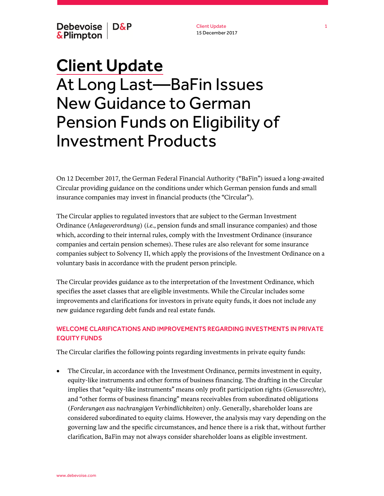Debevoise | D&P & Plimpton

Client Update 15 December 2017

# Client Update At Long Last—BaFin Issues New Guidance to German Pension Funds on Eligibility of Investment Products

On 12 December 2017, the German Federal Financial Authority ("BaFin") issued a long-awaited Circular providing guidance on the conditions under which German pension funds and small insurance companies may invest in financial products (the "Circular").

The Circular applies to regulated investors that are subject to the German Investment Ordinance (*Anlageverordnung*) (*i.e.*, pension funds and small insurance companies) and those which, according to their internal rules, comply with the Investment Ordinance (insurance companies and certain pension schemes). These rules are also relevant for some insurance companies subject to Solvency II, which apply the provisions of the Investment Ordinance on a voluntary basis in accordance with the prudent person principle.

The Circular provides guidance as to the interpretation of the Investment Ordinance, which specifies the asset classes that are eligible investments. While the Circular includes some improvements and clarifications for investors in private equity funds, it does not include any new guidance regarding debt funds and real estate funds.

## WELCOME CLARIFICATIONS AND IMPROVEMENTS REGARDING INVESTMENTS IN PRIVATE EQUITY FUNDS

The Circular clarifies the following points regarding investments in private equity funds:

 The Circular, in accordance with the Investment Ordinance, permits investment in equity, equity-like instruments and other forms of business financing. The drafting in the Circular implies that "equity-like instruments" means only profit participation rights (*Genussrechte*), and "other forms of business financing" means receivables from subordinated obligations (*Forderungen aus nachrangigen Verbindlichkeiten*) only. Generally, shareholder loans are considered subordinated to equity claims. However, the analysis may vary depending on the governing law and the specific circumstances, and hence there is a risk that, without further clarification, BaFin may not always consider shareholder loans as eligible investment.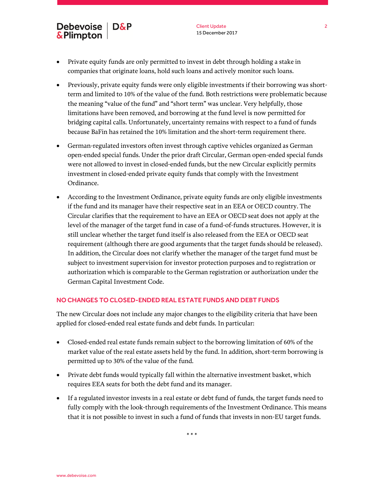## Debevoise | D&P **&Plimpton**

- Private equity funds are only permitted to invest in debt through holding a stake in companies that originate loans, hold such loans and actively monitor such loans.
- Previously, private equity funds were only eligible investments if their borrowing was shortterm and limited to 10% of the value of the fund. Both restrictions were problematic because the meaning "value of the fund" and "short term" was unclear. Very helpfully, those limitations have been removed, and borrowing at the fund level is now permitted for bridging capital calls. Unfortunately, uncertainty remains with respect to a fund of funds because BaFin has retained the 10% limitation and the short-term requirement there.
- German-regulated investors often invest through captive vehicles organized as German open-ended special funds. Under the prior draft Circular, German open-ended special funds were not allowed to invest in closed-ended funds, but the new Circular explicitly permits investment in closed-ended private equity funds that comply with the Investment Ordinance.
- According to the Investment Ordinance, private equity funds are only eligible investments if the fund and its manager have their respective seat in an EEA or OECD country. The Circular clarifies that the requirement to have an EEA or OECD seat does not apply at the level of the manager of the target fund in case of a fund-of-funds structures. However, it is still unclear whether the target fund itself is also released from the EEA or OECD seat requirement (although there are good arguments that the target funds should be released). In addition, the Circular does not clarify whether the manager of the target fund must be subject to investment supervision for investor protection purposes and to registration or authorization which is comparable to the German registration or authorization under the German Capital Investment Code.

### NO CHANGES TO CLOSED-ENDED REAL ESTATE FUNDS AND DEBT FUNDS

The new Circular does not include any major changes to the eligibility criteria that have been applied for closed-ended real estate funds and debt funds. In particular:

- Closed-ended real estate funds remain subject to the borrowing limitation of 60% of the market value of the real estate assets held by the fund. In addition, short-term borrowing is permitted up to 30% of the value of the fund.
- Private debt funds would typically fall within the alternative investment basket, which requires EEA seats for both the debt fund and its manager.
- If a regulated investor invests in a real estate or debt fund of funds, the target funds need to fully comply with the look-through requirements of the Investment Ordinance. This means that it is not possible to invest in such a fund of funds that invests in non-EU target funds.

\* \* \*